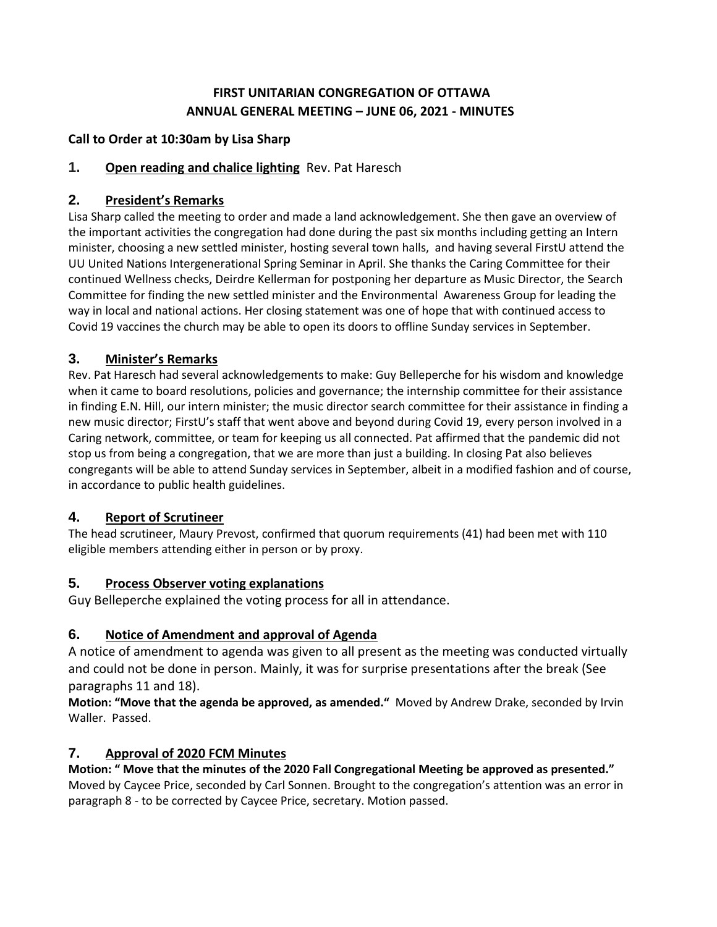# **FIRST UNITARIAN CONGREGATION OF OTTAWA ANNUAL GENERAL MEETING – JUNE 06, 2021 - MINUTES**

### **Call to Order at 10:30am by Lisa Sharp**

### **1. Open reading and chalice lighting** Rev. Pat Haresch

### **2. President's Remarks**

Lisa Sharp called the meeting to order and made a land acknowledgement. She then gave an overview of the important activities the congregation had done during the past six months including getting an Intern minister, choosing a new settled minister, hosting several town halls, and having several FirstU attend the UU United Nations Intergenerational Spring Seminar in April. She thanks the Caring Committee for their continued Wellness checks, Deirdre Kellerman for postponing her departure as Music Director, the Search Committee for finding the new settled minister and the Environmental Awareness Group for leading the way in local and national actions. Her closing statement was one of hope that with continued access to Covid 19 vaccines the church may be able to open its doors to offline Sunday services in September.

### **3. Minister's Remarks**

Rev. Pat Haresch had several acknowledgements to make: Guy Belleperche for his wisdom and knowledge when it came to board resolutions, policies and governance; the internship committee for their assistance in finding E.N. Hill, our intern minister; the music director search committee for their assistance in finding a new music director; FirstU's staff that went above and beyond during Covid 19, every person involved in a Caring network, committee, or team for keeping us all connected. Pat affirmed that the pandemic did not stop us from being a congregation, that we are more than just a building. In closing Pat also believes congregants will be able to attend Sunday services in September, albeit in a modified fashion and of course, in accordance to public health guidelines.

## **4. Report of Scrutineer**

The head scrutineer, Maury Prevost, confirmed that quorum requirements (41) had been met with 110 eligible members attending either in person or by proxy.

### **5. Process Observer voting explanations**

Guy Belleperche explained the voting process for all in attendance.

## **6. Notice of Amendment and approval of Agenda**

A notice of amendment to agenda was given to all present as the meeting was conducted virtually and could not be done in person. Mainly, it was for surprise presentations after the break (See paragraphs 11 and 18).

**Motion: "Move that the agenda be approved, as amended."** Moved by Andrew Drake, seconded by Irvin Waller. Passed.

## **7. Approval of 2020 FCM Minutes**

**Motion: " Move that the minutes of the 2020 Fall Congregational Meeting be approved as presented."**  Moved by Caycee Price, seconded by Carl Sonnen. Brought to the congregation's attention was an error in paragraph 8 - to be corrected by Caycee Price, secretary. Motion passed.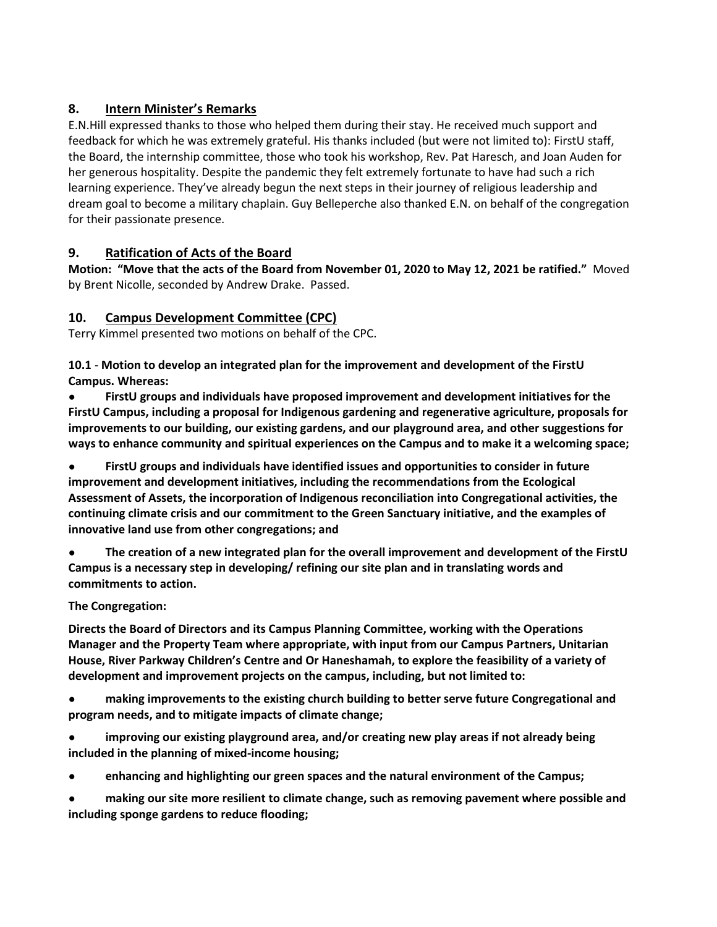# **8. Intern Minister's Remarks**

E.N.Hill expressed thanks to those who helped them during their stay. He received much support and feedback for which he was extremely grateful. His thanks included (but were not limited to): FirstU staff, the Board, the internship committee, those who took his workshop, Rev. Pat Haresch, and Joan Auden for her generous hospitality. Despite the pandemic they felt extremely fortunate to have had such a rich learning experience. They've already begun the next steps in their journey of religious leadership and dream goal to become a military chaplain. Guy Belleperche also thanked E.N. on behalf of the congregation for their passionate presence.

# **9. Ratification of Acts of the Board**

**Motion: "Move that the acts of the Board from November 01, 2020 to May 12, 2021 be ratified."** Moved by Brent Nicolle, seconded by Andrew Drake. Passed.

# **10. Campus Development Committee (CPC)**

Terry Kimmel presented two motions on behalf of the CPC.

**10.1** - **Motion to develop an integrated plan for the improvement and development of the FirstU Campus. Whereas:** 

● **FirstU groups and individuals have proposed improvement and development initiatives for the FirstU Campus, including a proposal for Indigenous gardening and regenerative agriculture, proposals for improvements to our building, our existing gardens, and our playground area, and other suggestions for ways to enhance community and spiritual experiences on the Campus and to make it a welcoming space;** 

● **FirstU groups and individuals have identified issues and opportunities to consider in future improvement and development initiatives, including the recommendations from the Ecological Assessment of Assets, the incorporation of Indigenous reconciliation into Congregational activities, the continuing climate crisis and our commitment to the Green Sanctuary initiative, and the examples of innovative land use from other congregations; and** 

● **The creation of a new integrated plan for the overall improvement and development of the FirstU Campus is a necessary step in developing/ refining our site plan and in translating words and commitments to action.** 

## **The Congregation:**

**Directs the Board of Directors and its Campus Planning Committee, working with the Operations Manager and the Property Team where appropriate, with input from our Campus Partners, Unitarian House, River Parkway Children's Centre and Or Haneshamah, to explore the feasibility of a variety of development and improvement projects on the campus, including, but not limited to:**

● **making improvements to the existing church building to better serve future Congregational and program needs, and to mitigate impacts of climate change;** 

● **improving our existing playground area, and/or creating new play areas if not already being included in the planning of mixed-income housing;** 

● **enhancing and highlighting our green spaces and the natural environment of the Campus;** 

making our site more resilient to climate change, such as removing pavement where possible and **including sponge gardens to reduce flooding;**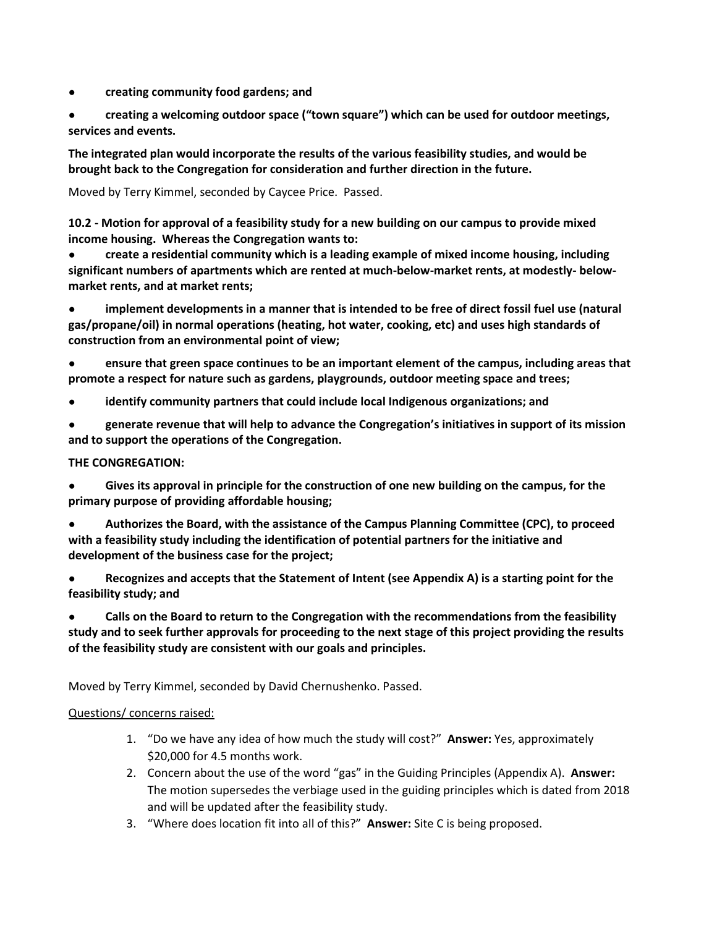● **creating community food gardens; and** 

● **creating a welcoming outdoor space ("town square") which can be used for outdoor meetings, services and events.** 

**The integrated plan would incorporate the results of the various feasibility studies, and would be brought back to the Congregation for consideration and further direction in the future.**

Moved by Terry Kimmel, seconded by Caycee Price. Passed.

**10.2 - Motion for approval of a feasibility study for a new building on our campus to provide mixed income housing. Whereas the Congregation wants to:** 

● **create a residential community which is a leading example of mixed income housing, including significant numbers of apartments which are rented at much-below-market rents, at modestly- belowmarket rents, and at market rents;** 

implement developments in a manner that is intended to be free of direct fossil fuel use (natural **gas/propane/oil) in normal operations (heating, hot water, cooking, etc) and uses high standards of construction from an environmental point of view;** 

● **ensure that green space continues to be an important element of the campus, including areas that promote a respect for nature such as gardens, playgrounds, outdoor meeting space and trees;** 

- **identify community partners that could include local Indigenous organizations; and**
- **generate revenue that will help to advance the Congregation's initiatives in support of its mission and to support the operations of the Congregation.**

#### **THE CONGREGATION:**

● **Gives its approval in principle for the construction of one new building on the campus, for the primary purpose of providing affordable housing;** 

● **Authorizes the Board, with the assistance of the Campus Planning Committee (CPC), to proceed with a feasibility study including the identification of potential partners for the initiative and development of the business case for the project;** 

● **Recognizes and accepts that the Statement of Intent (see Appendix A) is a starting point for the feasibility study; and** 

● **Calls on the Board to return to the Congregation with the recommendations from the feasibility study and to seek further approvals for proceeding to the next stage of this project providing the results of the feasibility study are consistent with our goals and principles.** 

Moved by Terry Kimmel, seconded by David Chernushenko. Passed.

### Questions/ concerns raised:

- 1. "Do we have any idea of how much the study will cost?" **Answer:** Yes, approximately \$20,000 for 4.5 months work.
- 2. Concern about the use of the word "gas" in the Guiding Principles (Appendix A). **Answer:** The motion supersedes the verbiage used in the guiding principles which is dated from 2018 and will be updated after the feasibility study.
- 3. "Where does location fit into all of this?" **Answer:** Site C is being proposed.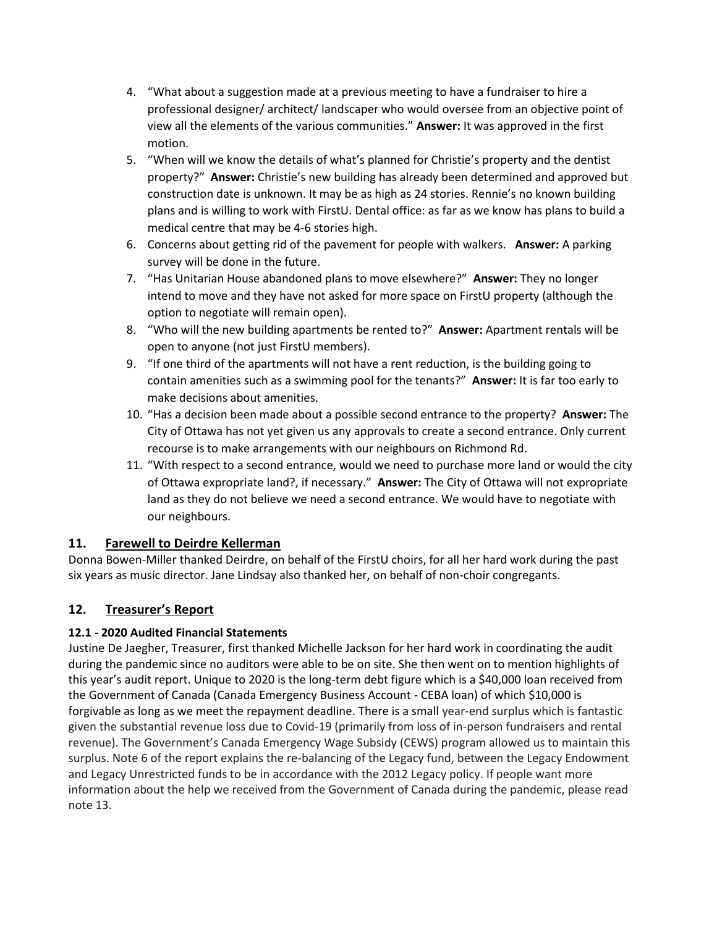- 4. "What about a suggestion made at a previous meeting to have a fundraiser to hire a professional designer/ architect/ landscaper who would oversee from an objective point of view all the elements of the various communities." **Answer:** It was approved in the first motion.
- 5. "When will we know the details of what's planned for Christie's property and the dentist property?" **Answer:** Christie's new building has already been determined and approved but construction date is unknown. It may be as high as 24 stories. Rennie's no known building plans and is willing to work with FirstU. Dental office: as far as we know has plans to build a medical centre that may be 4-6 stories high.
- 6. Concerns about getting rid of the pavement for people with walkers. **Answer:** A parking survey will be done in the future.
- 7. "Has Unitarian House abandoned plans to move elsewhere?" **Answer:** They no longer intend to move and they have not asked for more space on FirstU property (although the option to negotiate will remain open).
- 8. "Who will the new building apartments be rented to?" **Answer:** Apartment rentals will be open to anyone (not just FirstU members).
- 9. "If one third of the apartments will not have a rent reduction, is the building going to contain amenities such as a swimming pool for the tenants?" **Answer:** It is far too early to make decisions about amenities.
- 10. "Has a decision been made about a possible second entrance to the property? **Answer:** The City of Ottawa has not yet given us any approvals to create a second entrance. Only current recourse is to make arrangements with our neighbours on Richmond Rd.
- 11. "With respect to a second entrance, would we need to purchase more land or would the city of Ottawa expropriate land?, if necessary." **Answer:** The City of Ottawa will not expropriate land as they do not believe we need a second entrance. We would have to negotiate with our neighbours.

## **11. Farewell to Deirdre Kellerman**

Donna Bowen-Miller thanked Deirdre, on behalf of the FirstU choirs, for all her hard work during the past six years as music director. Jane Lindsay also thanked her, on behalf of non-choir congregants.

# **12. Treasurer's Report**

## **12.1 - 2020 Audited Financial Statements**

Justine De Jaegher, Treasurer, first thanked Michelle Jackson for her hard work in coordinating the audit during the pandemic since no auditors were able to be on site. She then went on to mention highlights of this year's audit report. Unique to 2020 is the long-term debt figure which is a \$40,000 loan received from the Government of Canada (Canada Emergency Business Account - CEBA loan) of which \$10,000 is forgivable as long as we meet the repayment deadline. There is a small year-end surplus which is fantastic given the substantial revenue loss due to Covid-19 (primarily from loss of in-person fundraisers and rental revenue). The Government's Canada Emergency Wage Subsidy (CEWS) program allowed us to maintain this surplus. Note 6 of the report explains the re-balancing of the Legacy fund, between the Legacy Endowment and Legacy Unrestricted funds to be in accordance with the 2012 Legacy policy. If people want more information about the help we received from the Government of Canada during the pandemic, please read note 13.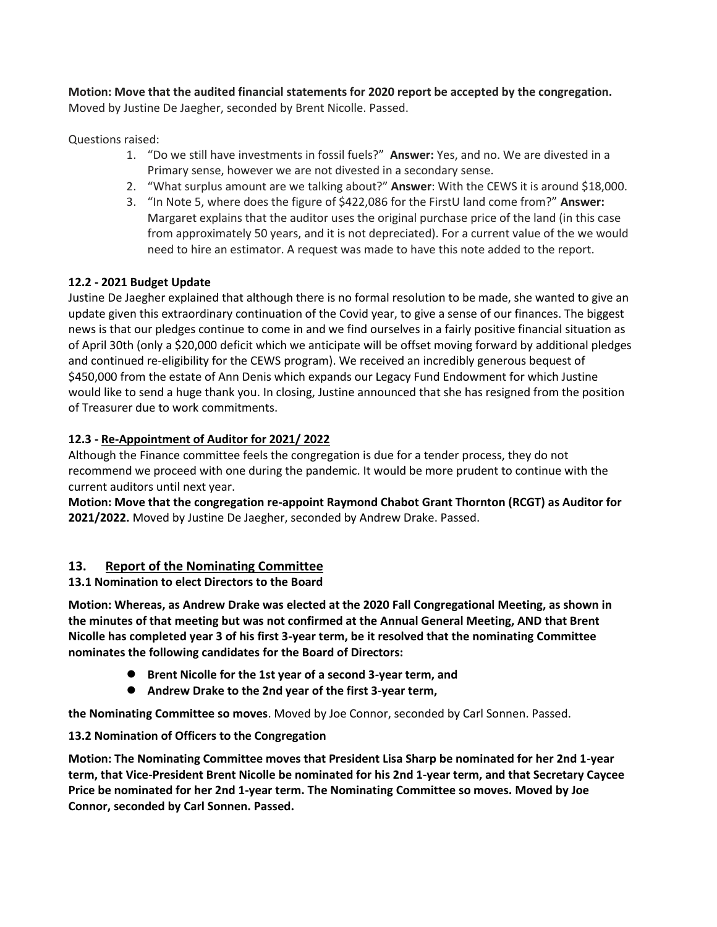**Motion: Move that the audited financial statements for 2020 report be accepted by the congregation.** Moved by Justine De Jaegher, seconded by Brent Nicolle. Passed.

Questions raised:

- 1. "Do we still have investments in fossil fuels?" **Answer:** Yes, and no. We are divested in a Primary sense, however we are not divested in a secondary sense.
- 2. "What surplus amount are we talking about?" **Answer**: With the CEWS it is around \$18,000.
- 3. "In Note 5, where does the figure of \$422,086 for the FirstU land come from?" **Answer:** Margaret explains that the auditor uses the original purchase price of the land (in this case from approximately 50 years, and it is not depreciated). For a current value of the we would need to hire an estimator. A request was made to have this note added to the report.

### **12.2 - 2021 Budget Update**

Justine De Jaegher explained that although there is no formal resolution to be made, she wanted to give an update given this extraordinary continuation of the Covid year, to give a sense of our finances. The biggest news is that our pledges continue to come in and we find ourselves in a fairly positive financial situation as of April 30th (only a \$20,000 deficit which we anticipate will be offset moving forward by additional pledges and continued re-eligibility for the CEWS program). We received an incredibly generous bequest of \$450,000 from the estate of Ann Denis which expands our Legacy Fund Endowment for which Justine would like to send a huge thank you. In closing, Justine announced that she has resigned from the position of Treasurer due to work commitments.

### **12.3 - Re-Appointment of Auditor for 2021/ 2022**

Although the Finance committee feels the congregation is due for a tender process, they do not recommend we proceed with one during the pandemic. It would be more prudent to continue with the current auditors until next year.

**Motion: Move that the congregation re-appoint Raymond Chabot Grant Thornton (RCGT) as Auditor for 2021/2022.** Moved by Justine De Jaegher, seconded by Andrew Drake. Passed.

## **13. Report of the Nominating Committee**

### **13.1 Nomination to elect Directors to the Board**

**Motion: Whereas, as Andrew Drake was elected at the 2020 Fall Congregational Meeting, as shown in the minutes of that meeting but was not confirmed at the Annual General Meeting, AND that Brent Nicolle has completed year 3 of his first 3-year term, be it resolved that the nominating Committee nominates the following candidates for the Board of Directors:** 

- **Brent Nicolle for the 1st year of a second 3-year term, and**
- **Andrew Drake to the 2nd year of the first 3-year term,**

**the Nominating Committee so moves**. Moved by Joe Connor, seconded by Carl Sonnen. Passed.

### **13.2 Nomination of Officers to the Congregation**

**Motion: The Nominating Committee moves that President Lisa Sharp be nominated for her 2nd 1-year term, that Vice-President Brent Nicolle be nominated for his 2nd 1-year term, and that Secretary Caycee Price be nominated for her 2nd 1-year term. The Nominating Committee so moves. Moved by Joe Connor, seconded by Carl Sonnen. Passed.**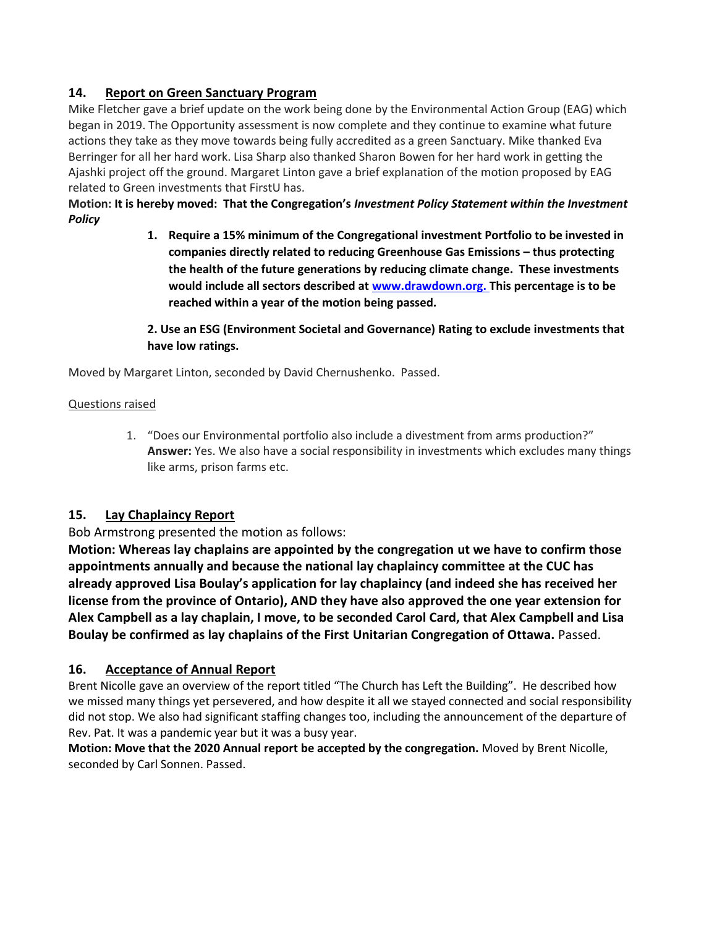## **14. Report on Green Sanctuary Program**

Mike Fletcher gave a brief update on the work being done by the Environmental Action Group (EAG) which began in 2019. The Opportunity assessment is now complete and they continue to examine what future actions they take as they move towards being fully accredited as a green Sanctuary. Mike thanked Eva Berringer for all her hard work. Lisa Sharp also thanked Sharon Bowen for her hard work in getting the Ajashki project off the ground. Margaret Linton gave a brief explanation of the motion proposed by EAG related to Green investments that FirstU has.

**Motion: It is hereby moved: That the Congregation's** *Investment Policy Statement within the Investment Policy*

> **1. Require a 15% minimum of the Congregational investment Portfolio to be invested in companies directly related to reducing Greenhouse Gas Emissions – thus protecting the health of the future generations by reducing climate change. These investments would include all sectors described at [www.drawdown.org.](about:blank) This percentage is to be reached within a year of the motion being passed.**

> **2. Use an ESG (Environment Societal and Governance) Rating to exclude investments that have low ratings.**

Moved by Margaret Linton, seconded by David Chernushenko. Passed.

#### Questions raised

1. "Does our Environmental portfolio also include a divestment from arms production?" **Answer:** Yes. We also have a social responsibility in investments which excludes many things like arms, prison farms etc.

### **15. Lay Chaplaincy Report**

Bob Armstrong presented the motion as follows:

**Motion: Whereas lay chaplains are appointed by the congregation ut we have to confirm those appointments annually and because the national lay chaplaincy committee at the CUC has already approved Lisa Boulay's application for lay chaplaincy (and indeed she has received her license from the province of Ontario), AND they have also approved the one year extension for Alex Campbell as a lay chaplain, I move, to be seconded Carol Card, that Alex Campbell and Lisa Boulay be confirmed as lay chaplains of the First Unitarian Congregation of Ottawa.** Passed.

### **16. Acceptance of Annual Report**

Brent Nicolle gave an overview of the report titled "The Church has Left the Building". He described how we missed many things yet persevered, and how despite it all we stayed connected and social responsibility did not stop. We also had significant staffing changes too, including the announcement of the departure of Rev. Pat. It was a pandemic year but it was a busy year.

**Motion: Move that the 2020 Annual report be accepted by the congregation.** Moved by Brent Nicolle, seconded by Carl Sonnen. Passed.